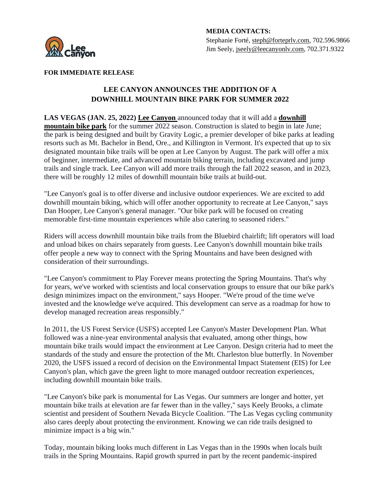

## **FOR IMMEDIATE RELEASE**

## **LEE CANYON ANNOUNCES THE ADDITION OF A DOWNHILL MOUNTAIN BIKE PARK FOR SUMMER 2022**

**LAS VEGAS (JAN. 25, 2022) [Lee Canyon](https://www.leecanyonlv.com/)** announced today that it will add a **[downhill](https://www.leecanyonlv.com/plan-your-trip/activities/mountain-biking-news-2022)  [mountain bike park](https://www.leecanyonlv.com/plan-your-trip/activities/mountain-biking-news-2022)** for the summer 2022 season. Construction is slated to begin in late June; the park is being designed and built by Gravity Logic, a premier developer of bike parks at leading resorts such as Mt. Bachelor in Bend, Ore., and Killington in Vermont. It's expected that up to six designated mountain bike trails will be open at Lee Canyon by August. The park will offer a mix of beginner, intermediate, and advanced mountain biking terrain, including excavated and jump trails and single track. Lee Canyon will add more trails through the fall 2022 season, and in 2023, there will be roughly 12 miles of downhill mountain bike trails at build-out.

"Lee Canyon's goal is to offer diverse and inclusive outdoor experiences. We are excited to add downhill mountain biking, which will offer another opportunity to recreate at Lee Canyon," says Dan Hooper, Lee Canyon's general manager. "Our bike park will be focused on creating memorable first-time mountain experiences while also catering to seasoned riders."

Riders will access downhill mountain bike trails from the Bluebird chairlift; lift operators will load and unload bikes on chairs separately from guests. Lee Canyon's downhill mountain bike trails offer people a new way to connect with the Spring Mountains and have been designed with consideration of their surroundings.

"Lee Canyon's commitment to Play Forever means protecting the Spring Mountains. That's why for years, we've worked with scientists and local conservation groups to ensure that our bike park's design minimizes impact on the environment," says Hooper. "We're proud of the time we've invested and the knowledge we've acquired. This development can serve as a roadmap for how to develop managed recreation areas responsibly."

In 2011, the US Forest Service (USFS) accepted Lee Canyon's Master Development Plan. What followed was a nine-year environmental analysis that evaluated, among other things, how mountain bike trails would impact the environment at Lee Canyon. Design criteria had to meet the standards of the study and ensure the protection of the Mt. Charleston blue butterfly. In November 2020, the USFS issued a record of decision on the Environmental Impact Statement (EIS) for Lee Canyon's plan, which gave the green light to more managed outdoor recreation experiences, including downhill mountain bike trails.

"Lee Canyon's bike park is monumental for Las Vegas. Our summers are longer and hotter, yet mountain bike trails at elevation are far fewer than in the valley," says Keely Brooks, a climate scientist and president of Southern Nevada Bicycle Coalition. "The Las Vegas cycling community also cares deeply about protecting the environment. Knowing we can ride trails designed to minimize impact is a big win."

Today, mountain biking looks much different in Las Vegas than in the 1990s when locals built trails in the Spring Mountains. Rapid growth spurred in part by the recent pandemic-inspired